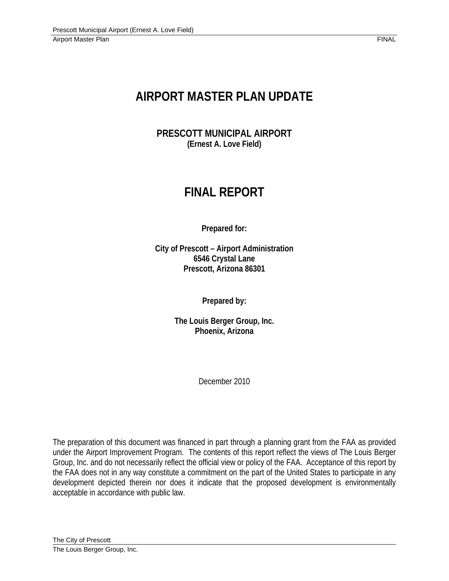# **AIRPORT MASTER PLAN UPDATE**

**PRESCOTT MUNICIPAL AIRPORT (Ernest A. Love Field)** 

# **FINAL REPORT**

**Prepared for:** 

**City of Prescott – Airport Administration 6546 Crystal Lane Prescott, Arizona 86301** 

**Prepared by:** 

**The Louis Berger Group, Inc. Phoenix, Arizona** 

December 2010

The preparation of this document was financed in part through a planning grant from the FAA as provided under the Airport Improvement Program. The contents of this report reflect the views of The Louis Berger Group, Inc. and do not necessarily reflect the official view or policy of the FAA. Acceptance of this report by the FAA does not in any way constitute a commitment on the part of the United States to participate in any development depicted therein nor does it indicate that the proposed development is environmentally acceptable in accordance with public law.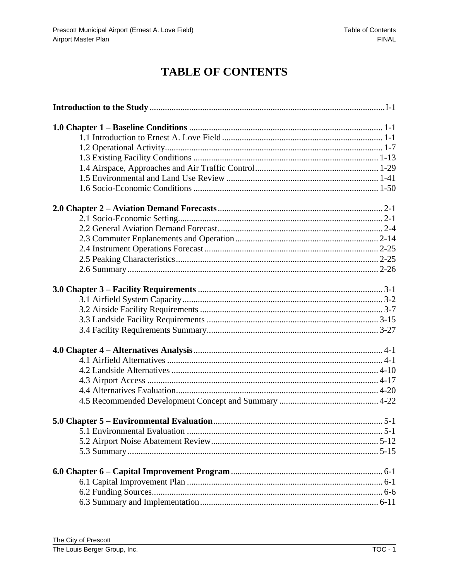## **TABLE OF CONTENTS**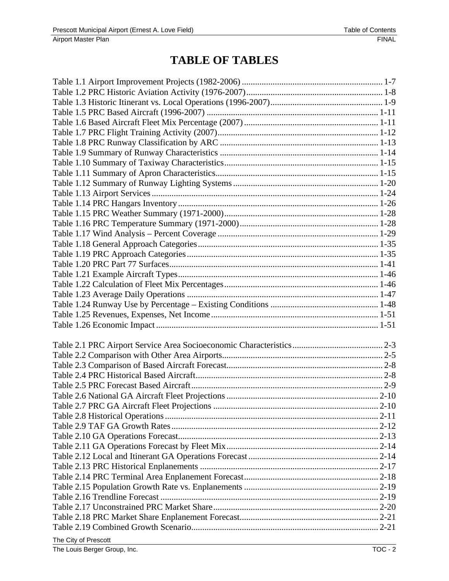## **TABLE OF TABLES**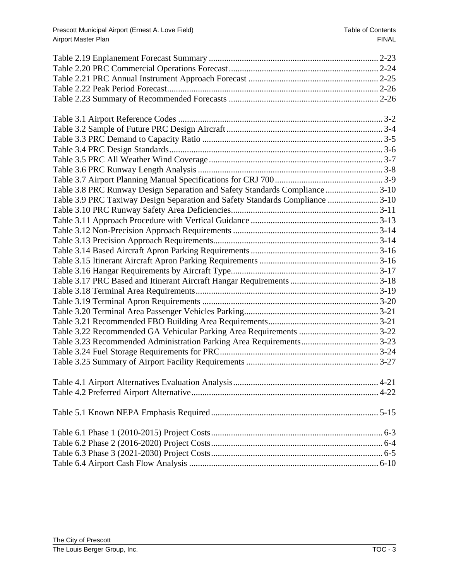| Table 3.8 PRC Runway Design Separation and Safety Standards Compliance 3-10  |  |
|------------------------------------------------------------------------------|--|
| Table 3.9 PRC Taxiway Design Separation and Safety Standards Compliance 3-10 |  |
|                                                                              |  |
|                                                                              |  |
|                                                                              |  |
|                                                                              |  |
|                                                                              |  |
|                                                                              |  |
|                                                                              |  |
|                                                                              |  |
|                                                                              |  |
|                                                                              |  |
|                                                                              |  |
|                                                                              |  |
|                                                                              |  |
|                                                                              |  |
|                                                                              |  |
|                                                                              |  |
|                                                                              |  |
|                                                                              |  |
|                                                                              |  |
|                                                                              |  |
|                                                                              |  |
|                                                                              |  |
|                                                                              |  |
|                                                                              |  |
|                                                                              |  |
|                                                                              |  |
|                                                                              |  |